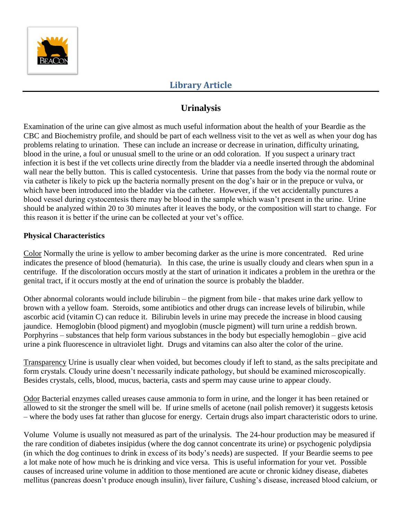

### **Urinalysis**

Examination of the urine can give almost as much useful information about the health of your Beardie as the CBC and Biochemistry profile, and should be part of each wellness visit to the vet as well as when your dog has problems relating to urination. These can include an increase or decrease in urination, difficulty urinating, blood in the urine, a foul or unusual smell to the urine or an odd coloration. If you suspect a urinary tract infection it is best if the vet collects urine directly from the bladder via a needle inserted through the abdominal wall near the belly button. This is called cystocentesis. Urine that passes from the body via the normal route or via catheter is likely to pick up the bacteria normally present on the dog's hair or in the prepuce or vulva, or which have been introduced into the bladder via the catheter. However, if the vet accidentally punctures a blood vessel during cystocentesis there may be blood in the sample which wasn't present in the urine. Urine should be analyzed within 20 to 30 minutes after it leaves the body, or the composition will start to change. For this reason it is better if the urine can be collected at your vet's office.

#### **Physical Characteristics**

Color Normally the urine is yellow to amber becoming darker as the urine is more concentrated. Red urine indicates the presence of blood (hematuria). In this case, the urine is usually cloudy and clears when spun in a centrifuge. If the discoloration occurs mostly at the start of urination it indicates a problem in the urethra or the genital tract, if it occurs mostly at the end of urination the source is probably the bladder.

Other abnormal colorants would include bilirubin – the pigment from bile - that makes urine dark yellow to brown with a yellow foam. Steroids, some antibiotics and other drugs can increase levels of bilirubin, while ascorbic acid (vitamin C) can reduce it. Bilirubin levels in urine may precede the increase in blood causing jaundice. Hemoglobin (blood pigment) and myoglobin (muscle pigment) will turn urine a reddish brown. Porphyrins – substances that help form various substances in the body but especially hemoglobin – give acid urine a pink fluorescence in ultraviolet light. Drugs and vitamins can also alter the color of the urine.

Transparency Urine is usually clear when voided, but becomes cloudy if left to stand, as the salts precipitate and form crystals. Cloudy urine doesn't necessarily indicate pathology, but should be examined microscopically. Besides crystals, cells, blood, mucus, bacteria, casts and sperm may cause urine to appear cloudy.

Odor Bacterial enzymes called ureases cause ammonia to form in urine, and the longer it has been retained or allowed to sit the stronger the smell will be. If urine smells of acetone (nail polish remover) it suggests ketosis – where the body uses fat rather than glucose for energy. Certain drugs also impart characteristic odors to urine.

Volume Volume is usually not measured as part of the urinalysis. The 24-hour production may be measured if the rare condition of diabetes insipidus (where the dog cannot concentrate its urine) or psychogenic polydipsia (in which the dog continues to drink in excess of its body's needs) are suspected. If your Beardie seems to pee a lot make note of how much he is drinking and vice versa. This is useful information for your vet. Possible causes of increased urine volume in addition to those mentioned are acute or chronic kidney disease, diabetes mellitus (pancreas doesn't produce enough insulin), liver failure, Cushing's disease, increased blood calcium, or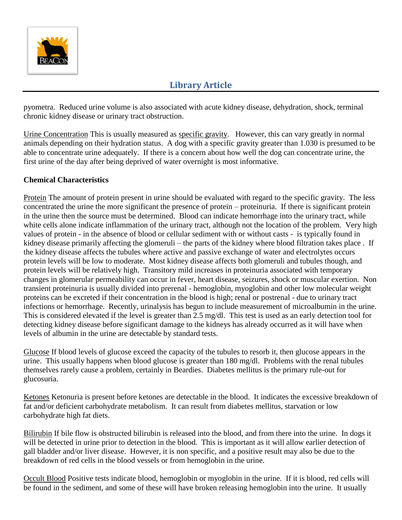

pyometra. Reduced urine volume is also associated with acute kidney disease, dehydration, shock, terminal chronic kidney disease or urinary tract obstruction.

Urine Concentration This is usually measured as specific gravity. However, this can vary greatly in normal animals depending on their hydration status. A dog with a specific gravity greater than 1.030 is presumed to be able to concentrate urine adequately. If there is a concern about how well the dog can concentrate urine, the first urine of the day after being deprived of water overnight is most informative.

#### **Chemical Characteristics**

Protein The amount of protein present in urine should be evaluated with regard to the specific gravity. The less concentrated the urine the more significant the presence of protein – proteinuria. If there is significant protein in the urine then the source must be determined. Blood can indicate hemorrhage into the urinary tract, while white cells alone indicate inflammation of the urinary tract, although not the location of the problem. Very high values of protein - in the absence of blood or cellular sediment with or without casts - is typically found in kidney disease primarily affecting the glomeruli – the parts of the kidney where blood filtration takes place . If the kidney disease affects the tubules where active and passive exchange of water and electrolytes occurs protein levels will be low to moderate. Most kidney disease affects both glomeruli and tubules though, and protein levels will be relatively high. Transitory mild increases in proteinuria associated with temporary changes in glomerular permeability can occur in fever, heart disease, seizures, shock or muscular exertion. Non transient proteinuria is usually divided into prerenal - hemoglobin, myoglobin and other low molecular weight proteins can be excreted if their concentration in the blood is high; renal or postrenal - due to urinary tract infections or hemorrhage. Recently, urinalysis has begun to include measurement of microalbumin in the urine. This is considered elevated if the level is greater than 2.5 mg/dl. This test is used as an early detection tool for detecting kidney disease before significant damage to the kidneys has already occurred as it will have when levels of albumin in the urine are detectable by standard tests.

Glucose If blood levels of glucose exceed the capacity of the tubules to resorb it, then glucose appears in the urine. This usually happens when blood glucose is greater than 180 mg/dl. Problems with the renal tubules themselves rarely cause a problem, certainly in Beardies. Diabetes mellitus is the primary rule-out for glucosuria.

Ketones Ketonuria is present before ketones are detectable in the blood. It indicates the excessive breakdown of fat and/or deficient carbohydrate metabolism. It can result from diabetes mellitus, starvation or low carbohydrate high fat diets.

Bilirubin If bile flow is obstructed bilirubin is released into the blood, and from there into the urine. In dogs it will be detected in urine prior to detection in the blood. This is important as it will allow earlier detection of gall bladder and/or liver disease. However, it is non specific, and a positive result may also be due to the breakdown of red cells in the blood vessels or from hemoglobin in the urine.

Occult Blood Positive tests indicate blood, hemoglobin or myoglobin in the urine. If it is blood, red cells will be found in the sediment, and some of these will have broken releasing hemoglobin into the urine. It usually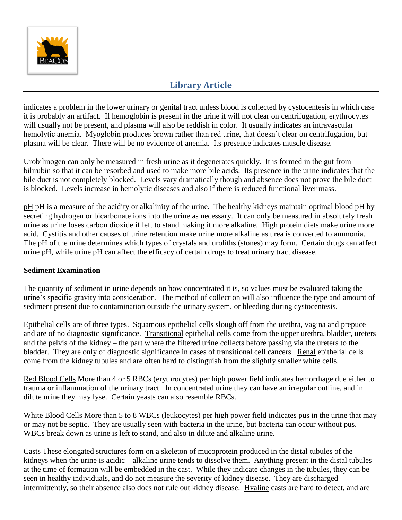

indicates a problem in the lower urinary or genital tract unless blood is collected by cystocentesis in which case it is probably an artifact. If hemoglobin is present in the urine it will not clear on centrifugation, erythrocytes will usually not be present, and plasma will also be reddish in color. It usually indicates an intravascular hemolytic anemia. Myoglobin produces brown rather than red urine, that doesn't clear on centrifugation, but plasma will be clear. There will be no evidence of anemia. Its presence indicates muscle disease.

Urobilinogen can only be measured in fresh urine as it degenerates quickly. It is formed in the gut from bilirubin so that it can be resorbed and used to make more bile acids. Its presence in the urine indicates that the bile duct is not completely blocked. Levels vary dramatically though and absence does not prove the bile duct is blocked. Levels increase in hemolytic diseases and also if there is reduced functional liver mass.

pH pH is a measure of the acidity or alkalinity of the urine. The healthy kidneys maintain optimal blood pH by secreting hydrogen or bicarbonate ions into the urine as necessary. It can only be measured in absolutely fresh urine as urine loses carbon dioxide if left to stand making it more alkaline. High protein diets make urine more acid. Cystitis and other causes of urine retention make urine more alkaline as urea is converted to ammonia. The pH of the urine determines which types of crystals and uroliths (stones) may form. Certain drugs can affect urine pH, while urine pH can affect the efficacy of certain drugs to treat urinary tract disease.

#### **Sediment Examination**

The quantity of sediment in urine depends on how concentrated it is, so values must be evaluated taking the urine's specific gravity into consideration. The method of collection will also influence the type and amount of sediment present due to contamination outside the urinary system, or bleeding during cystocentesis.

Epithelial cells are of three types. Squamous epithelial cells slough off from the urethra, vagina and prepuce and are of no diagnostic significance. Transitional epithelial cells come from the upper urethra, bladder, ureters and the pelvis of the kidney – the part where the filtered urine collects before passing via the ureters to the bladder. They are only of diagnostic significance in cases of transitional cell cancers. Renal epithelial cells come from the kidney tubules and are often hard to distinguish from the slightly smaller white cells.

Red Blood Cells More than 4 or 5 RBCs (erythrocytes) per high power field indicates hemorrhage due either to trauma or inflammation of the urinary tract. In concentrated urine they can have an irregular outline, and in dilute urine they may lyse. Certain yeasts can also resemble RBCs.

White Blood Cells More than 5 to 8 WBCs (leukocytes) per high power field indicates pus in the urine that may or may not be septic. They are usually seen with bacteria in the urine, but bacteria can occur without pus. WBCs break down as urine is left to stand, and also in dilute and alkaline urine.

Casts These elongated structures form on a skeleton of mucoprotein produced in the distal tubules of the kidneys when the urine is acidic – alkaline urine tends to dissolve them. Anything present in the distal tubules at the time of formation will be embedded in the cast. While they indicate changes in the tubules, they can be seen in healthy individuals, and do not measure the severity of kidney disease. They are discharged intermittently, so their absence also does not rule out kidney disease. Hyaline casts are hard to detect, and are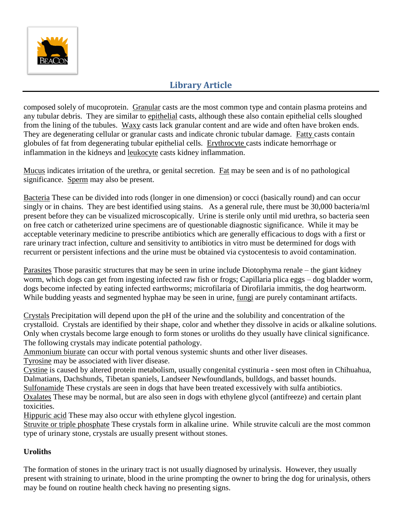

composed solely of mucoprotein. Granular casts are the most common type and contain plasma proteins and any tubular debris. They are similar to epithelial casts, although these also contain epithelial cells sloughed from the lining of the tubules. Waxy casts lack granular content and are wide and often have broken ends. They are degenerating cellular or granular casts and indicate chronic tubular damage. Fatty casts contain globules of fat from degenerating tubular epithelial cells. Erythrocyte casts indicate hemorrhage or inflammation in the kidneys and leukocyte casts kidney inflammation.

Mucus indicates irritation of the urethra, or genital secretion. Fat may be seen and is of no pathological significance. Sperm may also be present.

Bacteria These can be divided into rods (longer in one dimension) or cocci (basically round) and can occur singly or in chains. They are best identified using stains. As a general rule, there must be 30,000 bacteria/ml present before they can be visualized microscopically. Urine is sterile only until mid urethra, so bacteria seen on free catch or catheterized urine specimens are of questionable diagnostic significance. While it may be acceptable veterinary medicine to prescribe antibiotics which are generally efficacious to dogs with a first or rare urinary tract infection, culture and sensitivity to antibiotics in vitro must be determined for dogs with recurrent or persistent infections and the urine must be obtained via cystocentesis to avoid contamination.

Parasites Those parasitic structures that may be seen in urine include Diotophyma renale – the giant kidney worm, which dogs can get from ingesting infected raw fish or frogs; Capillaria plica eggs – dog bladder worm, dogs become infected by eating infected earthworms; microfilaria of Dirofilaria immitis, the dog heartworm. While budding yeasts and segmented hyphae may be seen in urine, fungi are purely contaminant artifacts.

Crystals Precipitation will depend upon the pH of the urine and the solubility and concentration of the crystalloid. Crystals are identified by their shape, color and whether they dissolve in acids or alkaline solutions. Only when crystals become large enough to form stones or uroliths do they usually have clinical significance. The following crystals may indicate potential pathology.

Ammonium biurate can occur with portal venous systemic shunts and other liver diseases.

Tyrosine may be associated with liver disease.

Cystine is caused by altered protein metabolism, usually congenital cystinuria - seen most often in Chihuahua, Dalmatians, Dachshunds, Tibetan spaniels, Landseer Newfoundlands, bulldogs, and basset hounds.

Sulfonamide These crystals are seen in dogs that have been treated excessively with sulfa antibiotics.

Oxalates These may be normal, but are also seen in dogs with ethylene glycol (antifreeze) and certain plant toxicities.

Hippuric acid These may also occur with ethylene glycol ingestion.

Struvite or triple phosphate These crystals form in alkaline urine. While struvite calculi are the most common type of urinary stone, crystals are usually present without stones.

### **Uroliths**

The formation of stones in the urinary tract is not usually diagnosed by urinalysis. However, they usually present with straining to urinate, blood in the urine prompting the owner to bring the dog for urinalysis, others may be found on routine health check having no presenting signs.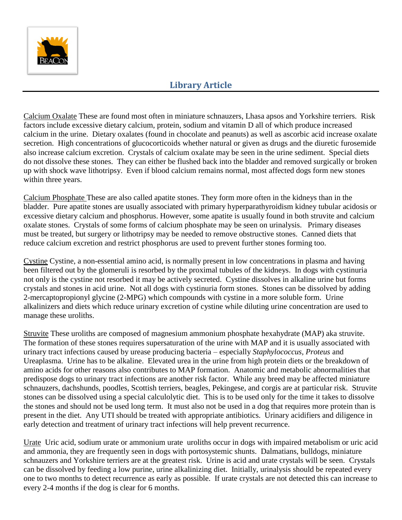

Calcium Oxalate These are found most often in miniature schnauzers, Lhasa apsos and Yorkshire terriers. Risk factors include excessive dietary calcium, protein, sodium and vitamin D all of which produce increased calcium in the urine. Dietary oxalates (found in chocolate and peanuts) as well as ascorbic acid increase oxalate secretion. High concentrations of glucocorticoids whether natural or given as drugs and the diuretic furosemide also increase calcium excretion. Crystals of calcium oxalate may be seen in the urine sediment. Special diets do not dissolve these stones. They can either be flushed back into the bladder and removed surgically or broken up with shock wave lithotripsy. Even if blood calcium remains normal, most affected dogs form new stones within three years.

Calcium Phosphate These are also called apatite stones. They form more often in the kidneys than in the bladder. Pure apatite stones are usually associated with primary hyperparathyroidism kidney tubular acidosis or excessive dietary calcium and phosphorus. However, some apatite is usually found in both struvite and calcium oxalate stones. Crystals of some forms of calcium phosphate may be seen on urinalysis. Primary diseases must be treated, but surgery or lithotripsy may be needed to remove obstructive stones. Canned diets that reduce calcium excretion and restrict phosphorus are used to prevent further stones forming too.

Cystine Cystine, a non-essential amino acid, is normally present in low concentrations in plasma and having been filtered out by the glomeruli is resorbed by the proximal tubules of the kidneys. In dogs with cystinuria not only is the cystine not resorbed it may be actively secreted. Cystine dissolves in alkaline urine but forms crystals and stones in acid urine. Not all dogs with cystinuria form stones. Stones can be dissolved by adding 2-mercaptopropionyl glycine (2-MPG) which compounds with cystine in a more soluble form. Urine alkalinizers and diets which reduce urinary excretion of cystine while diluting urine concentration are used to manage these uroliths.

Struvite These uroliths are composed of magnesium ammonium phosphate hexahydrate (MAP) aka struvite. The formation of these stones requires supersaturation of the urine with MAP and it is usually associated with urinary tract infections caused by urease producing bacteria – especially *Staphylococcus, Proteus* and Ureaplasma. Urine has to be alkaline. Elevated urea in the urine from high protein diets or the breakdown of amino acids for other reasons also contributes to MAP formation. Anatomic and metabolic abnormalities that predispose dogs to urinary tract infections are another risk factor. While any breed may be affected miniature schnauzers, dachshunds, poodles, Scottish terriers, beagles, Pekingese, and corgis are at particular risk. Struvite stones can be dissolved using a special calculolytic diet. This is to be used only for the time it takes to dissolve the stones and should not be used long term. It must also not be used in a dog that requires more protein than is present in the diet. Any UTI should be treated with appropriate antibiotics. Urinary acidifiers and diligence in early detection and treatment of urinary tract infections will help prevent recurrence.

Urate Uric acid, sodium urate or ammonium urate uroliths occur in dogs with impaired metabolism or uric acid and ammonia, they are frequently seen in dogs with portosystemic shunts. Dalmatians, bulldogs, miniature schnauzers and Yorkshire terriers are at the greatest risk. Urine is acid and urate crystals will be seen. Crystals can be dissolved by feeding a low purine, urine alkalinizing diet. Initially, urinalysis should be repeated every one to two months to detect recurrence as early as possible. If urate crystals are not detected this can increase to every 2-4 months if the dog is clear for 6 months.